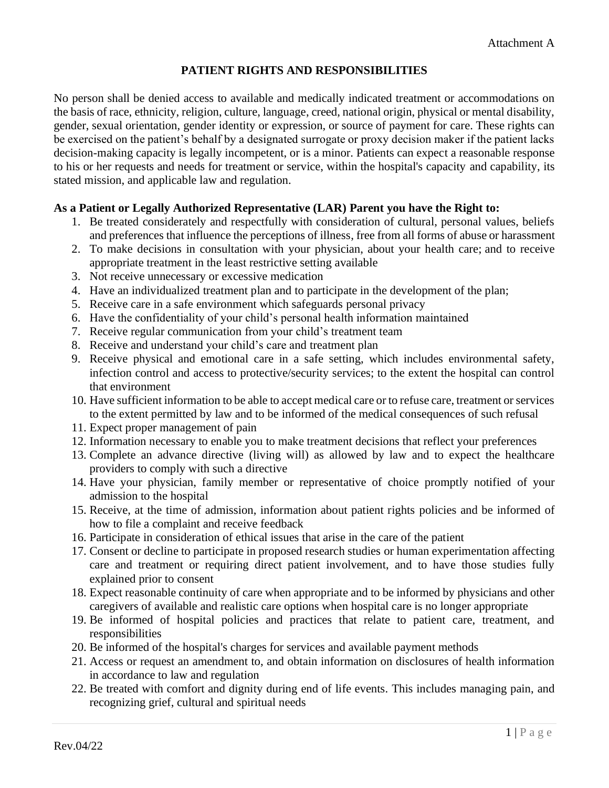## **PATIENT RIGHTS AND RESPONSIBILITIES**

No person shall be denied access to available and medically indicated treatment or accommodations on the basis of race, ethnicity, religion, culture, language, creed, national origin, physical or mental disability, gender, sexual orientation, gender identity or expression, or source of payment for care. These rights can be exercised on the patient's behalf by a designated surrogate or proxy decision maker if the patient lacks decision-making capacity is legally incompetent, or is a minor. Patients can expect a reasonable response to his or her requests and needs for treatment or service, within the hospital's capacity and capability, its stated mission, and applicable law and regulation.

### **As a Patient or Legally Authorized Representative (LAR) Parent you have the Right to:**

- 1. Be treated considerately and respectfully with consideration of cultural, personal values, beliefs and preferences that influence the perceptions of illness, free from all forms of abuse or harassment
- 2. To make decisions in consultation with your physician, about your health care; and to receive appropriate treatment in the least restrictive setting available
- 3. Not receive unnecessary or excessive medication
- 4. Have an individualized treatment plan and to participate in the development of the plan;
- 5. Receive care in a safe environment which safeguards personal privacy
- 6. Have the confidentiality of your child's personal health information maintained
- 7. Receive regular communication from your child's treatment team
- 8. Receive and understand your child's care and treatment plan
- 9. Receive physical and emotional care in a safe setting, which includes environmental safety, infection control and access to protective/security services; to the extent the hospital can control that environment
- 10. Have sufficient information to be able to accept medical care or to refuse care, treatment or services to the extent permitted by law and to be informed of the medical consequences of such refusal
- 11. Expect proper management of pain
- 12. Information necessary to enable you to make treatment decisions that reflect your preferences
- 13. Complete an advance directive (living will) as allowed by law and to expect the healthcare providers to comply with such a directive
- 14. Have your physician, family member or representative of choice promptly notified of your admission to the hospital
- 15. Receive, at the time of admission, information about patient rights policies and be informed of how to file a complaint and receive feedback
- 16. Participate in consideration of ethical issues that arise in the care of the patient
- 17. Consent or decline to participate in proposed research studies or human experimentation affecting care and treatment or requiring direct patient involvement, and to have those studies fully explained prior to consent
- 18. Expect reasonable continuity of care when appropriate and to be informed by physicians and other caregivers of available and realistic care options when hospital care is no longer appropriate
- 19. Be informed of hospital policies and practices that relate to patient care, treatment, and responsibilities
- 20. Be informed of the hospital's charges for services and available payment methods
- 21. Access or request an amendment to, and obtain information on disclosures of health information in accordance to law and regulation
- 22. Be treated with comfort and dignity during end of life events. This includes managing pain, and recognizing grief, cultural and spiritual needs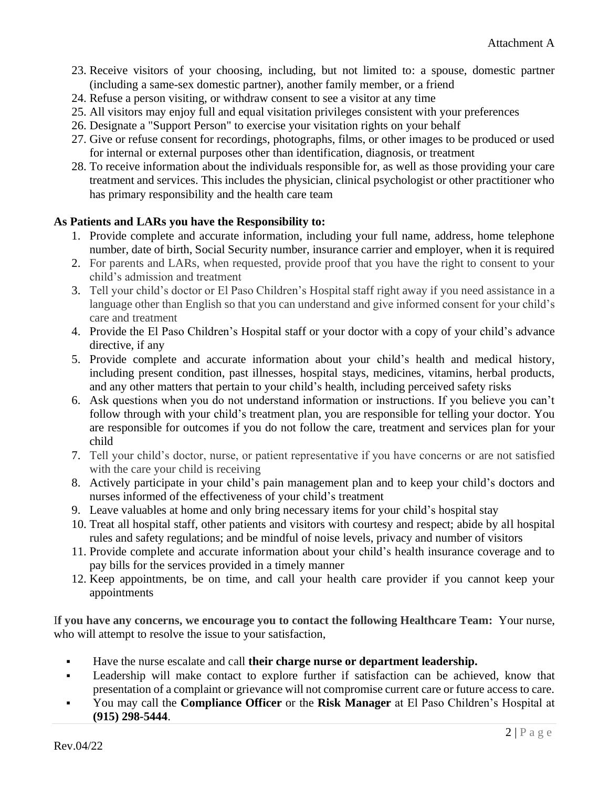- 23. Receive visitors of your choosing, including, but not limited to: a spouse, domestic partner (including a same-sex domestic partner), another family member, or a friend
- 24. Refuse a person visiting, or withdraw consent to see a visitor at any time
- 25. All visitors may enjoy full and equal visitation privileges consistent with your preferences
- 26. Designate a "Support Person" to exercise your visitation rights on your behalf
- 27. Give or refuse consent for recordings, photographs, films, or other images to be produced or used for internal or external purposes other than identification, diagnosis, or treatment
- 28. To receive information about the individuals responsible for, as well as those providing your care treatment and services. This includes the physician, clinical psychologist or other practitioner who has primary responsibility and the health care team

### **As Patients and LARs you have the Responsibility to:**

- 1. Provide complete and accurate information, including your full name, address, home telephone number, date of birth, Social Security number, insurance carrier and employer, when it is required
- 2. For parents and LARs, when requested, provide proof that you have the right to consent to your child's admission and treatment
- 3. Tell your child's doctor or El Paso Children's Hospital staff right away if you need assistance in a language other than English so that you can understand and give informed consent for your child's care and treatment
- 4. Provide the El Paso Children's Hospital staff or your doctor with a copy of your child's advance directive, if any
- 5. Provide complete and accurate information about your child's health and medical history, including present condition, past illnesses, hospital stays, medicines, vitamins, herbal products, and any other matters that pertain to your child's health, including perceived safety risks
- 6. Ask questions when you do not understand information or instructions. If you believe you can't follow through with your child's treatment plan, you are responsible for telling your doctor. You are responsible for outcomes if you do not follow the care, treatment and services plan for your child
- 7. Tell your child's doctor, nurse, or patient representative if you have concerns or are not satisfied with the care your child is receiving
- 8. Actively participate in your child's pain management plan and to keep your child's doctors and nurses informed of the effectiveness of your child's treatment
- 9. Leave valuables at home and only bring necessary items for your child's hospital stay
- 10. Treat all hospital staff, other patients and visitors with courtesy and respect; abide by all hospital rules and safety regulations; and be mindful of noise levels, privacy and number of visitors
- 11. Provide complete and accurate information about your child's health insurance coverage and to pay bills for the services provided in a timely manner
- 12. Keep appointments, be on time, and call your health care provider if you cannot keep your appointments

I**f you have any concerns, we encourage you to contact the following Healthcare Team:** Your nurse, who will attempt to resolve the issue to your satisfaction,

- Have the nurse escalate and call **their charge nurse or department leadership.**
- Leadership will make contact to explore further if satisfaction can be achieved, know that presentation of a complaint or grievance will not compromise current care or future access to care.
- You may call the **Compliance Officer** or the **Risk Manager** at El Paso Children's Hospital at **(915) 298-5444**.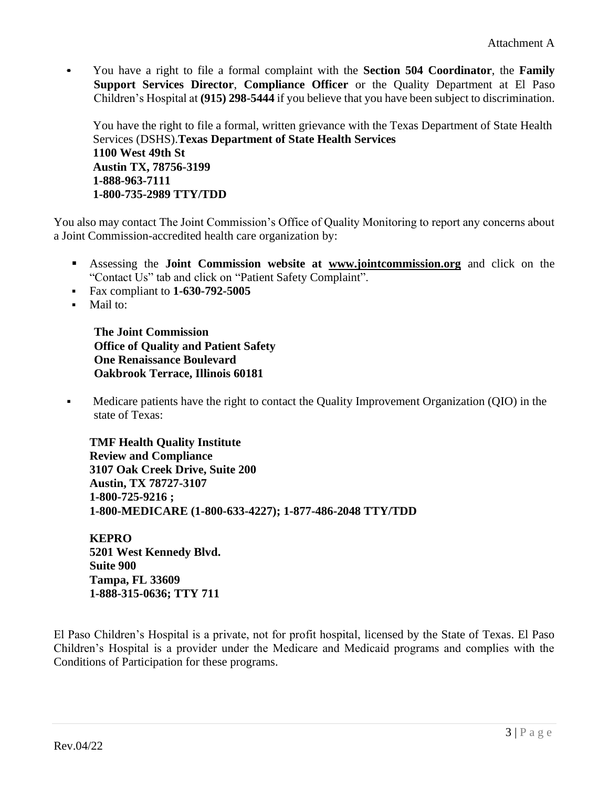You have a right to file a formal complaint with the **Section 504 Coordinator**, the **Family Support Services Director**, **Compliance Officer** or the Quality Department at El Paso Children's Hospital at **(915) 298-5444** if you believe that you have been subject to discrimination.

You have the right to file a formal, written grievance with the Texas Department of State Health Services (DSHS).**Texas Department of State Health Services 1100 West 49th St Austin TX, 78756-3199 1-888-963-7111 1-800-735-2989 TTY/TDD**

You also may contact The Joint Commission's Office of Quality Monitoring to report any concerns about a Joint Commission-accredited health care organization by:

- Assessing the **Joint Commission website at [www.jointcommission.org](http://www.jointcommission.org/)** and click on the "Contact Us" tab and click on "Patient Safety Complaint".
- Fax compliant to **1-630-792-5005**
- Mail to:

**The Joint Commission Office of Quality and Patient Safety One Renaissance Boulevard Oakbrook Terrace, Illinois 60181**

▪ Medicare patients have the right to contact the Quality Improvement Organization (QIO) in the state of Texas:

**TMF Health Quality Institute Review and Compliance 3107 Oak Creek Drive, Suite 200 Austin, TX 78727-3107 1-800-725-9216 ; 1-800-MEDICARE (1-800-633-4227); 1-877-486-2048 TTY/TDD**

**KEPRO 5201 West Kennedy Blvd. Suite 900 Tampa, FL 33609 1-888-315-0636; TTY 711**

El Paso Children's Hospital is a private, not for profit hospital, licensed by the State of Texas. El Paso Children's Hospital is a provider under the Medicare and Medicaid programs and complies with the Conditions of Participation for these programs.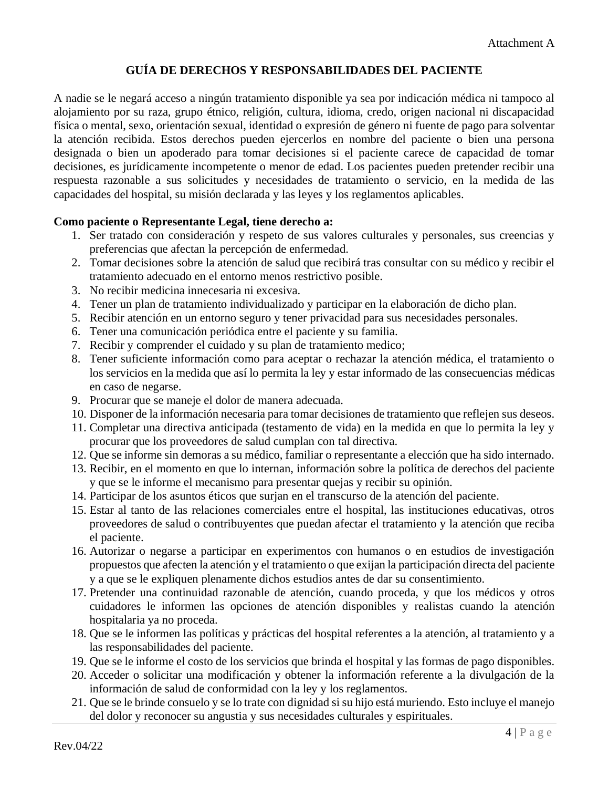# **GUÍA DE DERECHOS Y RESPONSABILIDADES DEL PACIENTE**

A nadie se le negará acceso a ningún tratamiento disponible ya sea por indicación médica ni tampoco al alojamiento por su raza, grupo étnico, religión, cultura, idioma, credo, origen nacional ni discapacidad física o mental, sexo, orientación sexual, identidad o expresión de género ni fuente de pago para solventar la atención recibida. Estos derechos pueden ejercerlos en nombre del paciente o bien una persona designada o bien un apoderado para tomar decisiones si el paciente carece de capacidad de tomar decisiones, es jurídicamente incompetente o menor de edad. Los pacientes pueden pretender recibir una respuesta razonable a sus solicitudes y necesidades de tratamiento o servicio, en la medida de las capacidades del hospital, su misión declarada y las leyes y los reglamentos aplicables.

### **Como paciente o Representante Legal, tiene derecho a:**

- 1. Ser tratado con consideración y respeto de sus valores culturales y personales, sus creencias y preferencias que afectan la percepción de enfermedad.
- 2. Tomar decisiones sobre la atención de salud que recibirá tras consultar con su médico y recibir el tratamiento adecuado en el entorno menos restrictivo posible.
- 3. No recibir medicina innecesaria ni excesiva.
- 4. Tener un plan de tratamiento individualizado y participar en la elaboración de dicho plan.
- 5. Recibir atención en un entorno seguro y tener privacidad para sus necesidades personales.
- 6. Tener una comunicación periódica entre el paciente y su familia.
- 7. Recibir y comprender el cuidado y su plan de tratamiento medico;
- 8. Tener suficiente información como para aceptar o rechazar la atención médica, el tratamiento o los servicios en la medida que así lo permita la ley y estar informado de las consecuencias médicas en caso de negarse.
- 9. Procurar que se maneje el dolor de manera adecuada.
- 10. Disponer de la información necesaria para tomar decisiones de tratamiento que reflejen sus deseos.
- 11. Completar una directiva anticipada (testamento de vida) en la medida en que lo permita la ley y procurar que los proveedores de salud cumplan con tal directiva.
- 12. Que se informe sin demoras a su médico, familiar o representante a elección que ha sido internado.
- 13. Recibir, en el momento en que lo internan, información sobre la política de derechos del paciente y que se le informe el mecanismo para presentar quejas y recibir su opinión.
- 14. Participar de los asuntos éticos que surjan en el transcurso de la atención del paciente.
- 15. Estar al tanto de las relaciones comerciales entre el hospital, las instituciones educativas, otros proveedores de salud o contribuyentes que puedan afectar el tratamiento y la atención que reciba el paciente.
- 16. Autorizar o negarse a participar en experimentos con humanos o en estudios de investigación propuestos que afecten la atención y el tratamiento o que exijan la participación directa del paciente y a que se le expliquen plenamente dichos estudios antes de dar su consentimiento.
- 17. Pretender una continuidad razonable de atención, cuando proceda, y que los médicos y otros cuidadores le informen las opciones de atención disponibles y realistas cuando la atención hospitalaria ya no proceda.
- 18. Que se le informen las políticas y prácticas del hospital referentes a la atención, al tratamiento y a las responsabilidades del paciente.
- 19. Que se le informe el costo de los servicios que brinda el hospital y las formas de pago disponibles.
- 20. Acceder o solicitar una modificación y obtener la información referente a la divulgación de la información de salud de conformidad con la ley y los reglamentos.
- 21. Que se le brinde consuelo y se lo trate con dignidad si su hijo está muriendo. Esto incluye el manejo del dolor y reconocer su angustia y sus necesidades culturales y espirituales.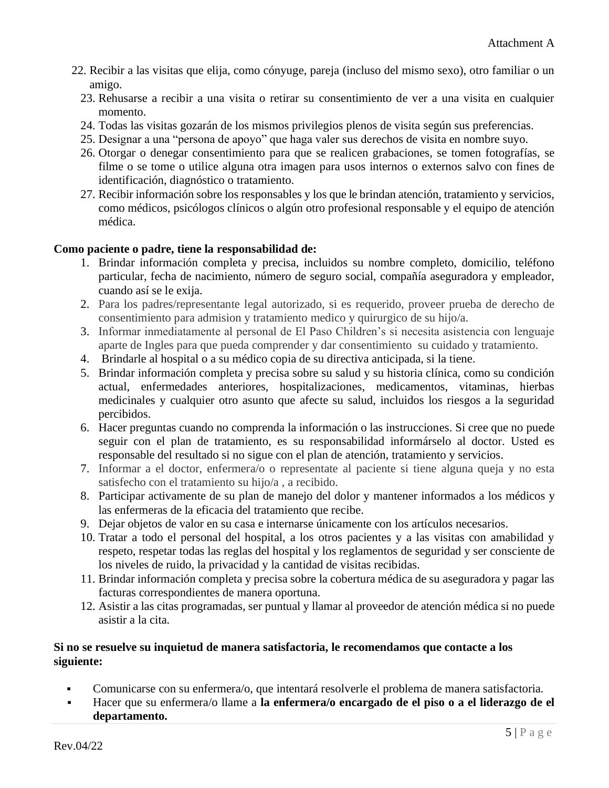- 22. Recibir a las visitas que elija, como cónyuge, pareja (incluso del mismo sexo), otro familiar o un amigo.
	- 23. Rehusarse a recibir a una visita o retirar su consentimiento de ver a una visita en cualquier momento.
	- 24. Todas las visitas gozarán de los mismos privilegios plenos de visita según sus preferencias.
	- 25. Designar a una "persona de apoyo" que haga valer sus derechos de visita en nombre suyo.
	- 26. Otorgar o denegar consentimiento para que se realicen grabaciones, se tomen fotografías, se filme o se tome o utilice alguna otra imagen para usos internos o externos salvo con fines de identificación, diagnóstico o tratamiento.
	- 27. Recibir información sobre los responsables y los que le brindan atención, tratamiento y servicios, como médicos, psicólogos clínicos o algún otro profesional responsable y el equipo de atención médica.

### **Como paciente o padre, tiene la responsabilidad de:**

- 1. Brindar información completa y precisa, incluidos su nombre completo, domicilio, teléfono particular, fecha de nacimiento, número de seguro social, compañía aseguradora y empleador, cuando así se le exija.
- 2. Para los padres/representante legal autorizado, si es requerido, proveer prueba de derecho de consentimiento para admision y tratamiento medico y quirurgico de su hijo/a.
- 3. Informar inmediatamente al personal de El Paso Children's si necesita asistencia con lenguaje aparte de Ingles para que pueda comprender y dar consentimiento su cuidado y tratamiento.
- 4. Brindarle al hospital o a su médico copia de su directiva anticipada, si la tiene.
- 5. Brindar información completa y precisa sobre su salud y su historia clínica, como su condición actual, enfermedades anteriores, hospitalizaciones, medicamentos, vitaminas, hierbas medicinales y cualquier otro asunto que afecte su salud, incluidos los riesgos a la seguridad percibidos.
- 6. Hacer preguntas cuando no comprenda la información o las instrucciones. Si cree que no puede seguir con el plan de tratamiento, es su responsabilidad informárselo al doctor. Usted es responsable del resultado si no sigue con el plan de atención, tratamiento y servicios.
- 7. Informar a el doctor, enfermera/o o representate al paciente si tiene alguna queja y no esta satisfecho con el tratamiento su hijo/a , a recibido.
- 8. Participar activamente de su plan de manejo del dolor y mantener informados a los médicos y las enfermeras de la eficacia del tratamiento que recibe.
- 9. Dejar objetos de valor en su casa e internarse únicamente con los artículos necesarios.
- 10. Tratar a todo el personal del hospital, a los otros pacientes y a las visitas con amabilidad y respeto, respetar todas las reglas del hospital y los reglamentos de seguridad y ser consciente de los niveles de ruido, la privacidad y la cantidad de visitas recibidas.
- 11. Brindar información completa y precisa sobre la cobertura médica de su aseguradora y pagar las facturas correspondientes de manera oportuna.
- 12. Asistir a las citas programadas, ser puntual y llamar al proveedor de atención médica si no puede asistir a la cita.

### **Si no se resuelve su inquietud de manera satisfactoria, le recomendamos que contacte a los siguiente:**

- Comunicarse con su enfermera/o, que intentará resolverle el problema de manera satisfactoria.
- Hacer que su enfermera/o llame a **la enfermera/o encargado de el piso o a el liderazgo de el departamento.**